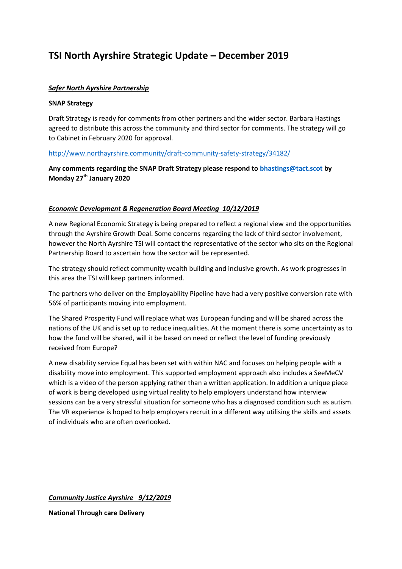# **TSI North Ayrshire Strategic Update – December 2019**

## *Safer North Ayrshire Partnership*

#### **SNAP Strategy**

Draft Strategy is ready for comments from other partners and the wider sector. Barbara Hastings agreed to distribute this across the community and third sector for comments. The strategy will go to Cabinet in February 2020 for approval.

## <http://www.northayrshire.community/draft-community-safety-strategy/34182/>

# **Any comments regarding the SNAP Draft Strategy please respond to [bhastings@tact.scot](mailto:bhastings@tact.scot) by Monday 27th January 2020**

## *Economic Development & Regeneration Board Meeting 10/12/2019*

A new Regional Economic Strategy is being prepared to reflect a regional view and the opportunities through the Ayrshire Growth Deal. Some concerns regarding the lack of third sector involvement, however the North Ayrshire TSI will contact the representative of the sector who sits on the Regional Partnership Board to ascertain how the sector will be represented.

The strategy should reflect community wealth building and inclusive growth. As work progresses in this area the TSI will keep partners informed.

The partners who deliver on the Employability Pipeline have had a very positive conversion rate with 56% of participants moving into employment.

The Shared Prosperity Fund will replace what was European funding and will be shared across the nations of the UK and is set up to reduce inequalities. At the moment there is some uncertainty as to how the fund will be shared, will it be based on need or reflect the level of funding previously received from Europe?

A new disability service Equal has been set with within NAC and focuses on helping people with a disability move into employment. This supported employment approach also includes a SeeMeCV which is a video of the person applying rather than a written application. In addition a unique piece of work is being developed using virtual reality to help employers understand how interview sessions can be a very stressful situation for someone who has a diagnosed condition such as autism. The VR experience is hoped to help employers recruit in a different way utilising the skills and assets of individuals who are often overlooked.

*Community Justice Ayrshire 9/12/2019*

**National Through care Delivery**